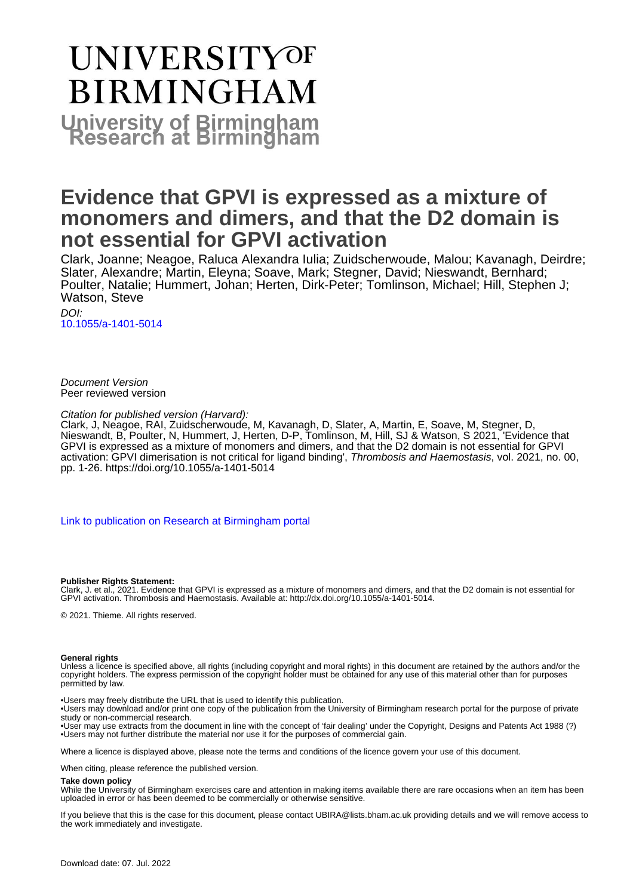# **UNIVERSITYOF BIRMINGHAM University of Birmingham**

# **Evidence that GPVI is expressed as a mixture of monomers and dimers, and that the D2 domain is not essential for GPVI activation**

Clark, Joanne; Neagoe, Raluca Alexandra Iulia; Zuidscherwoude, Malou; Kavanagh, Deirdre; Slater, Alexandre; Martin, Eleyna; Soave, Mark; Stegner, David; Nieswandt, Bernhard; Poulter, Natalie; Hummert, Johan; Herten, Dirk-Peter; Tomlinson, Michael; Hill, Stephen J; Watson, Steve

DOI: [10.1055/a-1401-5014](https://doi.org/10.1055/a-1401-5014)

Document Version Peer reviewed version

Citation for published version (Harvard):

Clark, J, Neagoe, RAI, Zuidscherwoude, M, Kavanagh, D, Slater, A, Martin, E, Soave, M, Stegner, D, Nieswandt, B, Poulter, N, Hummert, J, Herten, D-P, Tomlinson, M, Hill, SJ & Watson, S 2021, 'Evidence that GPVI is expressed as a mixture of monomers and dimers, and that the D2 domain is not essential for GPVI activation: GPVI dimerisation is not critical for ligand binding', Thrombosis and Haemostasis, vol. 2021, no. 00, pp. 1-26.<https://doi.org/10.1055/a-1401-5014>

[Link to publication on Research at Birmingham portal](https://birmingham.elsevierpure.com/en/publications/465fb71d-ae03-487d-9a60-c25b73cd0c2b)

#### **Publisher Rights Statement:**

Clark, J. et al., 2021. Evidence that GPVI is expressed as a mixture of monomers and dimers, and that the D2 domain is not essential for GPVI activation. Thrombosis and Haemostasis. Available at: http://dx.doi.org/10.1055/a-1401-5014.

© 2021. Thieme. All rights reserved.

#### **General rights**

Unless a licence is specified above, all rights (including copyright and moral rights) in this document are retained by the authors and/or the copyright holders. The express permission of the copyright holder must be obtained for any use of this material other than for purposes permitted by law.

• Users may freely distribute the URL that is used to identify this publication.

• Users may download and/or print one copy of the publication from the University of Birmingham research portal for the purpose of private study or non-commercial research.

• User may use extracts from the document in line with the concept of 'fair dealing' under the Copyright, Designs and Patents Act 1988 (?) • Users may not further distribute the material nor use it for the purposes of commercial gain.

Where a licence is displayed above, please note the terms and conditions of the licence govern your use of this document.

When citing, please reference the published version.

#### **Take down policy**

While the University of Birmingham exercises care and attention in making items available there are rare occasions when an item has been uploaded in error or has been deemed to be commercially or otherwise sensitive.

If you believe that this is the case for this document, please contact UBIRA@lists.bham.ac.uk providing details and we will remove access to the work immediately and investigate.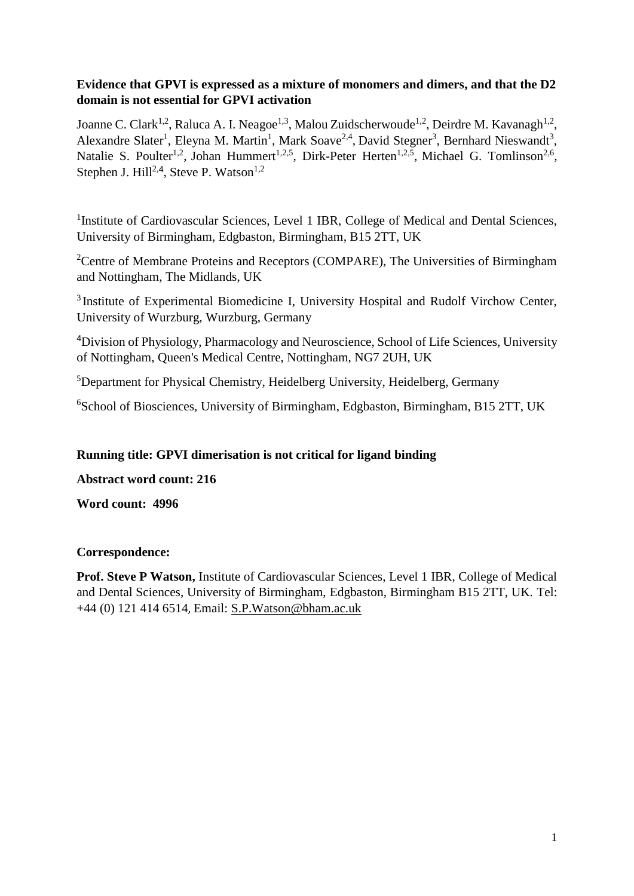## **Evidence that GPVI is expressed as a mixture of monomers and dimers, and that the D2 domain is not essential for GPVI activation**

Joanne C. Clark<sup>1,2</sup>, Raluca A. I. Neagoe<sup>1,3</sup>, Malou Zuidscherwoude<sup>1,2</sup>, Deirdre M. Kavanagh<sup>1,2</sup>, Alexandre Slater<sup>1</sup>, Eleyna M. Martin<sup>1</sup>, Mark Soave<sup>2,4</sup>, David Stegner<sup>3</sup>, Bernhard Nieswandt<sup>3</sup>, Natalie S. Poulter<sup>1,2</sup>, Johan Hummert<sup>1,2,5</sup>, Dirk-Peter Herten<sup>1,2,5</sup>, Michael G. Tomlinson<sup>2,6</sup>, Stephen J. Hill<sup>2,4</sup>, Steve P. Watson<sup>1,2</sup>

<sup>1</sup>Institute of Cardiovascular Sciences, Level 1 IBR, College of Medical and Dental Sciences, University of Birmingham, Edgbaston, Birmingham, B15 2TT, UK

<sup>2</sup>Centre of Membrane Proteins and Receptors (COMPARE), The Universities of Birmingham and Nottingham, The Midlands, UK

<sup>3</sup> Institute of Experimental Biomedicine I, University Hospital and Rudolf Virchow Center, University of Wurzburg, Wurzburg, Germany

<sup>4</sup>Division of Physiology, Pharmacology and Neuroscience, School of Life Sciences, University of Nottingham, Queen's Medical Centre, Nottingham, NG7 2UH, UK

<sup>5</sup>Department for Physical Chemistry, Heidelberg University, Heidelberg, Germany

<sup>6</sup>School of Biosciences, University of Birmingham, Edgbaston, Birmingham, B15 2TT, UK

## **Running title: GPVI dimerisation is not critical for ligand binding**

**Abstract word count: 216**

**Word count: 4996**

#### **Correspondence:**

**Prof. Steve P Watson,** Institute of Cardiovascular Sciences, Level 1 IBR, College of Medical and Dental Sciences, University of Birmingham, Edgbaston, Birmingham B15 2TT, UK. Tel: +44 (0) 121 414 6514, Email: [S.P.Watson@bham.ac.uk](mailto:S.P.Watson@bham.ac.uk)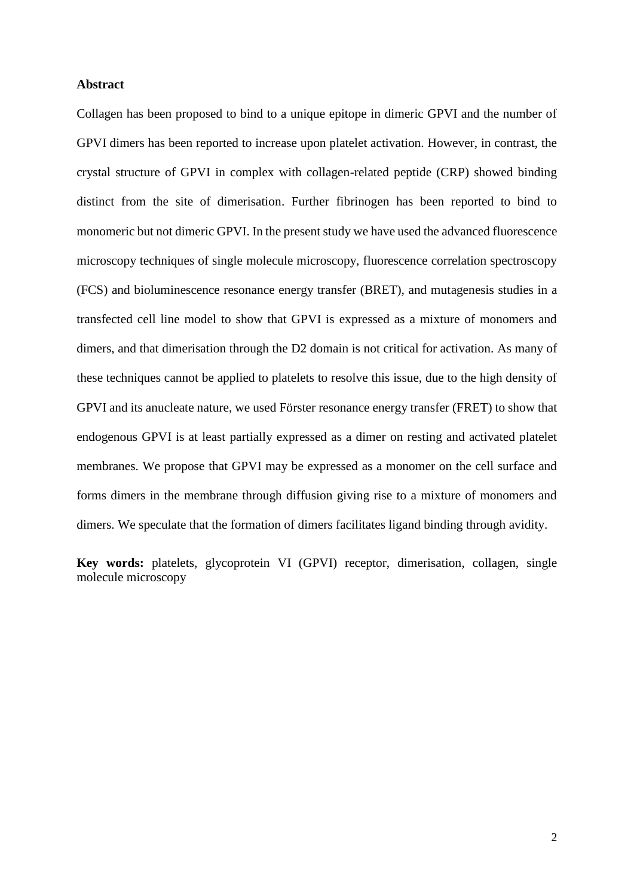#### **Abstract**

Collagen has been proposed to bind to a unique epitope in dimeric GPVI and the number of GPVI dimers has been reported to increase upon platelet activation. However, in contrast, the crystal structure of GPVI in complex with collagen-related peptide (CRP) showed binding distinct from the site of dimerisation. Further fibrinogen has been reported to bind to monomeric but not dimeric GPVI. In the present study we have used the advanced fluorescence microscopy techniques of single molecule microscopy, fluorescence correlation spectroscopy (FCS) and bioluminescence resonance energy transfer (BRET), and mutagenesis studies in a transfected cell line model to show that GPVI is expressed as a mixture of monomers and dimers, and that dimerisation through the D2 domain is not critical for activation. As many of these techniques cannot be applied to platelets to resolve this issue, due to the high density of GPVI and its anucleate nature, we used Förster resonance energy transfer (FRET) to show that endogenous GPVI is at least partially expressed as a dimer on resting and activated platelet membranes. We propose that GPVI may be expressed as a monomer on the cell surface and forms dimers in the membrane through diffusion giving rise to a mixture of monomers and dimers. We speculate that the formation of dimers facilitates ligand binding through avidity.

**Key words:** platelets, glycoprotein VI (GPVI) receptor, dimerisation, collagen, single molecule microscopy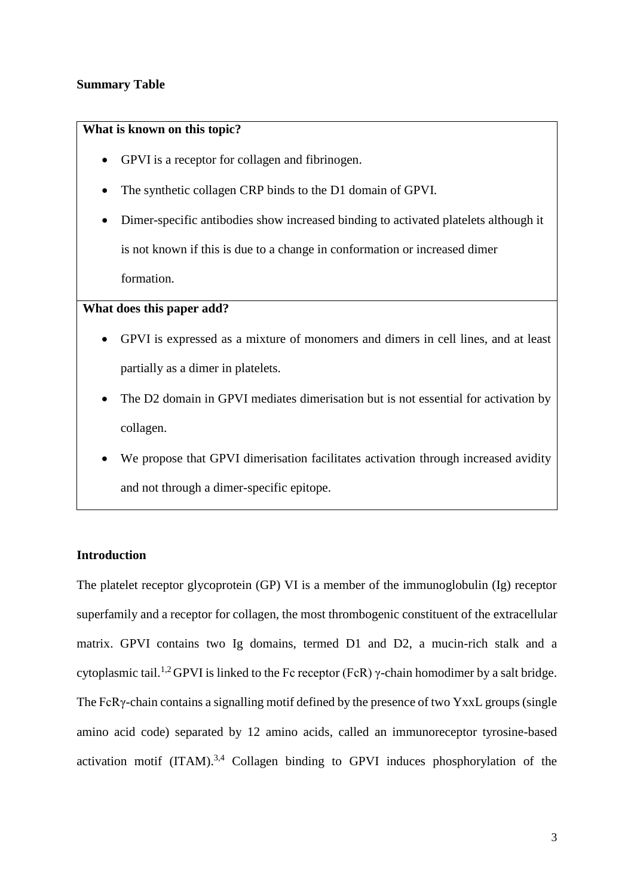#### **Summary Table**

#### **What is known on this topic?**

- GPVI is a receptor for collagen and fibrinogen.
- The synthetic collagen CRP binds to the D1 domain of GPVI.
- Dimer-specific antibodies show increased binding to activated platelets although it is not known if this is due to a change in conformation or increased dimer formation.

#### **What does this paper add?**

- GPVI is expressed as a mixture of monomers and dimers in cell lines, and at least partially as a dimer in platelets.
- The D2 domain in GPVI mediates dimerisation but is not essential for activation by collagen.
- We propose that GPVI dimerisation facilitates activation through increased avidity and not through a dimer-specific epitope.

### **Introduction**

The platelet receptor glycoprotein (GP) VI is a member of the immunoglobulin (Ig) receptor superfamily and a receptor for collagen, the most thrombogenic constituent of the extracellular matrix. GPVI contains two Ig domains, termed D1 and D2, a mucin-rich stalk and a cytoplasmic tail.<sup>1,2</sup> GPVI is linked to the Fc receptor (FcR)  $\gamma$ -chain homodimer by a salt bridge. The FcRγ-chain contains a signalling motif defined by the presence of two YxxL groups (single amino acid code) separated by 12 amino acids, called an immunoreceptor tyrosine-based activation motif  $(ITAM).<sup>3,4</sup>$  Collagen binding to GPVI induces phosphorylation of the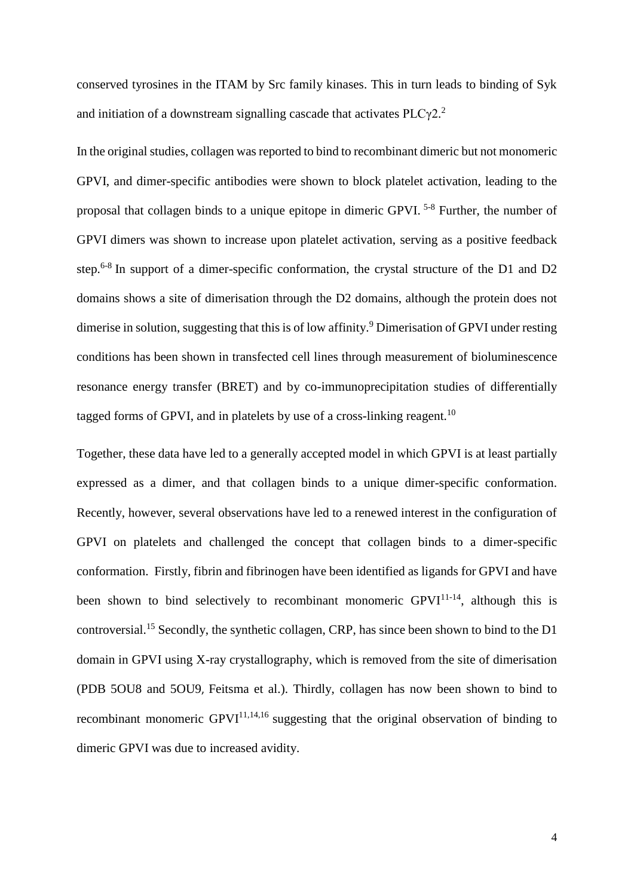conserved tyrosines in the ITAM by Src family kinases. This in turn leads to binding of Syk and initiation of a downstream signalling cascade that activates  $PLC\gamma2$ <sup>2</sup>

In the original studies, collagen was reported to bind to recombinant dimeric but not monomeric GPVI, and dimer-specific antibodies were shown to block platelet activation, leading to the proposal that collagen binds to a unique epitope in dimeric GPVI. 5-8 Further, the number of GPVI dimers was shown to increase upon platelet activation, serving as a positive feedback step.<sup>6-8</sup> In support of a dimer-specific conformation, the crystal structure of the D1 and D2 domains shows a site of dimerisation through the D2 domains, although the protein does not dimerise in solution, suggesting that this is of low affinity.<sup>9</sup> Dimerisation of GPVI under resting conditions has been shown in transfected cell lines through measurement of bioluminescence resonance energy transfer (BRET) and by co-immunoprecipitation studies of differentially tagged forms of GPVI, and in platelets by use of a cross-linking reagent.<sup>10</sup>

Together, these data have led to a generally accepted model in which GPVI is at least partially expressed as a dimer, and that collagen binds to a unique dimer-specific conformation. Recently, however, several observations have led to a renewed interest in the configuration of GPVI on platelets and challenged the concept that collagen binds to a dimer-specific conformation. Firstly, fibrin and fibrinogen have been identified as ligands for GPVI and have been shown to bind selectively to recombinant monomeric GPVI<sup>11-14</sup>, although this is controversial.<sup>15</sup> Secondly, the synthetic collagen, CRP, has since been shown to bind to the D1 domain in GPVI using X-ray crystallography, which is removed from the site of dimerisation (PDB 5OU8 and 5OU9, Feitsma et al.). Thirdly, collagen has now been shown to bind to recombinant monomeric  $GPVI^{11,14,16}$  suggesting that the original observation of binding to dimeric GPVI was due to increased avidity.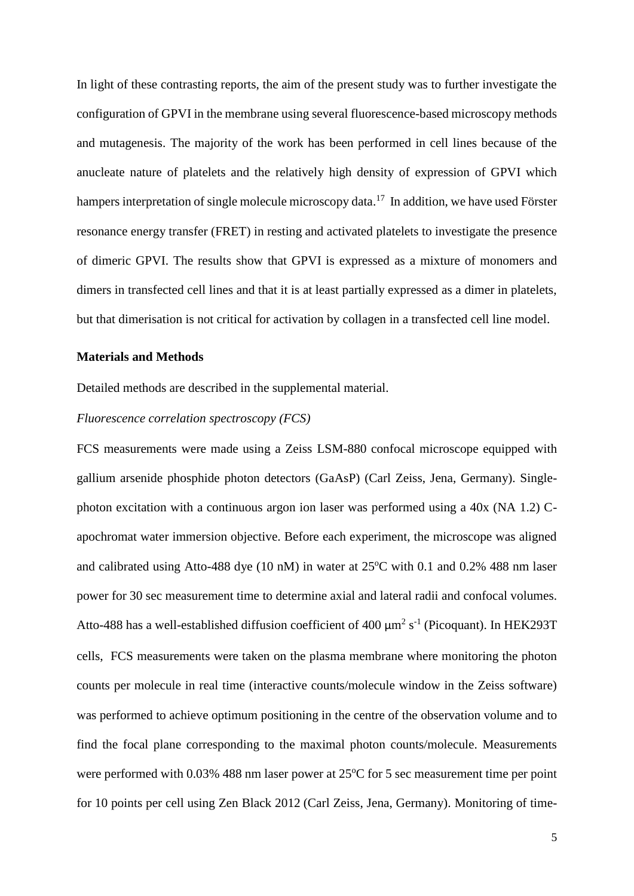In light of these contrasting reports, the aim of the present study was to further investigate the configuration of GPVI in the membrane using several fluorescence-based microscopy methods and mutagenesis. The majority of the work has been performed in cell lines because of the anucleate nature of platelets and the relatively high density of expression of GPVI which hampers interpretation of single molecule microscopy data.<sup>17</sup> In addition, we have used Förster resonance energy transfer (FRET) in resting and activated platelets to investigate the presence of dimeric GPVI. The results show that GPVI is expressed as a mixture of monomers and dimers in transfected cell lines and that it is at least partially expressed as a dimer in platelets, but that dimerisation is not critical for activation by collagen in a transfected cell line model.

#### **Materials and Methods**

Detailed methods are described in the supplemental material.

#### *Fluorescence correlation spectroscopy (FCS)*

FCS measurements were made using a Zeiss LSM-880 confocal microscope equipped with gallium arsenide phosphide photon detectors (GaAsP) (Carl Zeiss, Jena, Germany). Singlephoton excitation with a continuous argon ion laser was performed using a 40x (NA 1.2) Capochromat water immersion objective. Before each experiment, the microscope was aligned and calibrated using Atto-488 dye (10 nM) in water at  $25^{\circ}$ C with 0.1 and 0.2% 488 nm laser power for 30 sec measurement time to determine axial and lateral radii and confocal volumes. Atto-488 has a well-established diffusion coefficient of 400  $\mu$ m<sup>2</sup> s<sup>-1</sup> (Picoquant). In HEK293T cells, FCS measurements were taken on the plasma membrane where monitoring the photon counts per molecule in real time (interactive counts/molecule window in the Zeiss software) was performed to achieve optimum positioning in the centre of the observation volume and to find the focal plane corresponding to the maximal photon counts/molecule. Measurements were performed with  $0.03\%$  488 nm laser power at 25 $\degree$ C for 5 sec measurement time per point for 10 points per cell using Zen Black 2012 (Carl Zeiss, Jena, Germany). Monitoring of time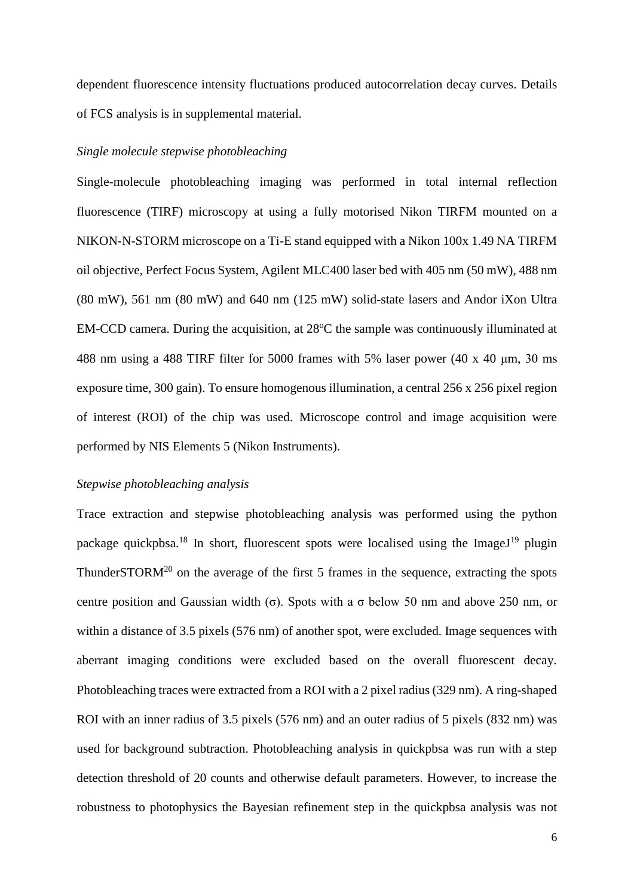dependent fluorescence intensity fluctuations produced autocorrelation decay curves. Details of FCS analysis is in supplemental material.

#### *Single molecule stepwise photobleaching*

Single-molecule photobleaching imaging was performed in total internal reflection fluorescence (TIRF) microscopy at using a fully motorised Nikon TIRFM mounted on a NIKON-N-STORM microscope on a Ti-E stand equipped with a Nikon 100x 1.49 NA TIRFM oil objective, Perfect Focus System, Agilent MLC400 laser bed with 405 nm (50 mW), 488 nm (80 mW), 561 nm (80 mW) and 640 nm (125 mW) solid-state lasers and Andor iXon Ultra  $EM-CCD$  camera. During the acquisition, at  $28^{\circ}C$  the sample was continuously illuminated at 488 nm using a 488 TIRF filter for 5000 frames with 5% laser power (40 x 40 μm, 30 ms exposure time, 300 gain). To ensure homogenous illumination, a central 256 x 256 pixel region of interest (ROI) of the chip was used. Microscope control and image acquisition were performed by NIS Elements 5 (Nikon Instruments).

## *Stepwise photobleaching analysis*

Trace extraction and stepwise photobleaching analysis was performed using the python package quickpbsa.<sup>18</sup> In short, fluorescent spots were localised using the ImageJ<sup>19</sup> plugin ThunderSTOR $M^{20}$  on the average of the first 5 frames in the sequence, extracting the spots centre position and Gaussian width (σ). Spots with a σ below 50 nm and above 250 nm, or within a distance of 3.5 pixels (576 nm) of another spot, were excluded. Image sequences with aberrant imaging conditions were excluded based on the overall fluorescent decay. Photobleaching traces were extracted from a ROI with a 2 pixel radius (329 nm). A ring-shaped ROI with an inner radius of 3.5 pixels (576 nm) and an outer radius of 5 pixels (832 nm) was used for background subtraction. Photobleaching analysis in quickpbsa was run with a step detection threshold of 20 counts and otherwise default parameters. However, to increase the robustness to photophysics the Bayesian refinement step in the quickpbsa analysis was not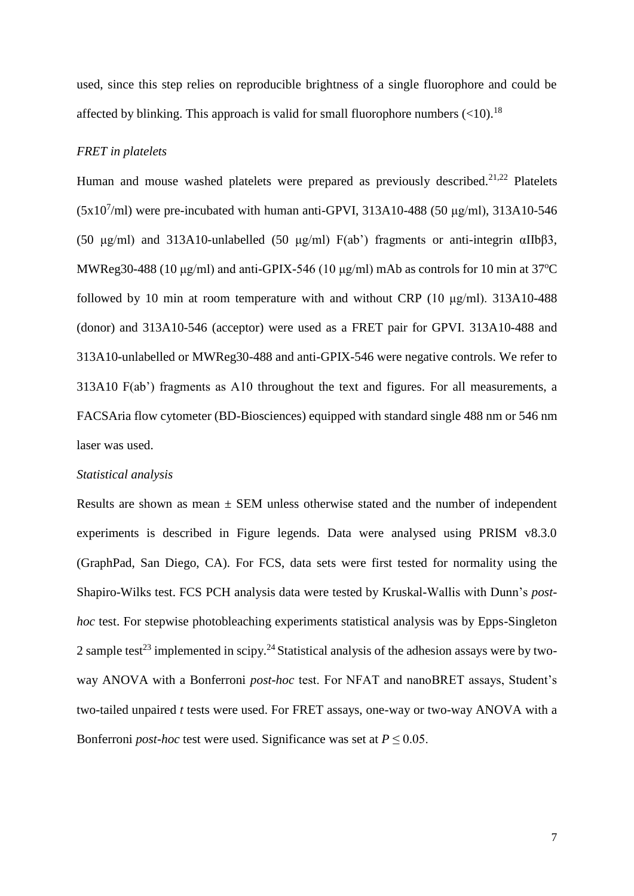used, since this step relies on reproducible brightness of a single fluorophore and could be affected by blinking. This approach is valid for small fluorophore numbers  $(<10$ ).<sup>18</sup>

#### *FRET in platelets*

Human and mouse washed platelets were prepared as previously described.<sup>21,22</sup> Platelets  $(5x10^7\text{/ml})$  were pre-incubated with human anti-GPVI, 313A10-488 (50 µg/ml), 313A10-546 (50 μg/ml) and 313A10-unlabelled (50 μg/ml)  $F(ab')$  fragments or anti-integrin αIIbβ3, MWReg30-488 (10  $\mu$ g/ml) and anti-GPIX-546 (10  $\mu$ g/ml) mAb as controls for 10 min at 37<sup>o</sup>C followed by 10 min at room temperature with and without CRP (10 μg/ml). 313A10-488 (donor) and 313A10-546 (acceptor) were used as a FRET pair for GPVI. 313A10-488 and 313A10-unlabelled or MWReg30-488 and anti-GPIX-546 were negative controls. We refer to 313A10 F(ab') fragments as A10 throughout the text and figures. For all measurements, a FACSAria flow cytometer (BD-Biosciences) equipped with standard single 488 nm or 546 nm laser was used.

#### *Statistical analysis*

Results are shown as mean  $\pm$  SEM unless otherwise stated and the number of independent experiments is described in Figure legends. Data were analysed using PRISM v8.3.0 (GraphPad, San Diego, CA). For FCS, data sets were first tested for normality using the Shapiro-Wilks test. FCS PCH analysis data were tested by Kruskal-Wallis with Dunn's *posthoc* test. For stepwise photobleaching experiments statistical analysis was by Epps-Singleton 2 sample test<sup>23</sup> implemented in scipy.<sup>24</sup> Statistical analysis of the adhesion assays were by twoway ANOVA with a Bonferroni *post-hoc* test. For NFAT and nanoBRET assays, Student's two-tailed unpaired *t* tests were used. For FRET assays, one-way or two-way ANOVA with a Bonferroni *post-hoc* test were used. Significance was set at  $P \leq 0.05$ .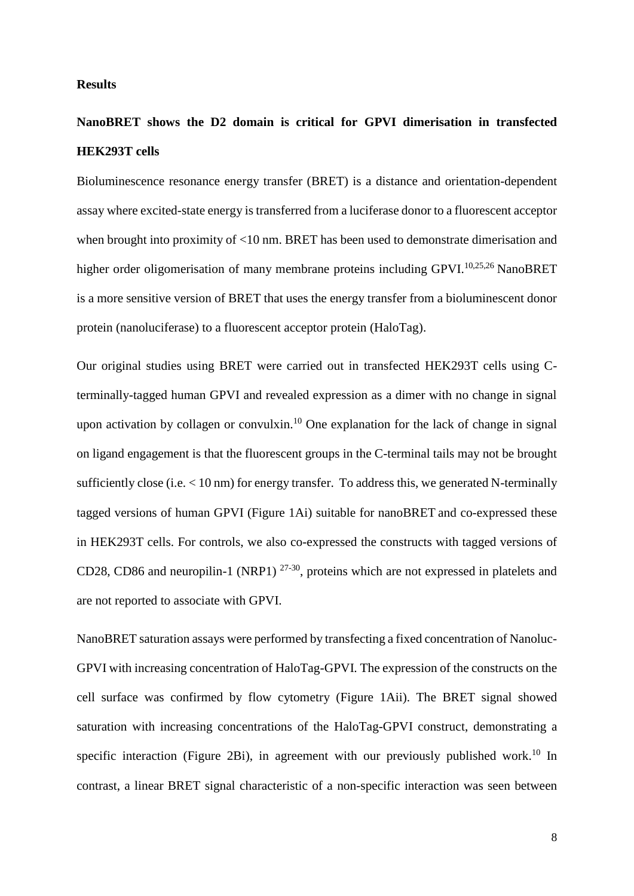#### **Results**

## **NanoBRET shows the D2 domain is critical for GPVI dimerisation in transfected HEK293T cells**

Bioluminescence resonance energy transfer (BRET) is a distance and orientation-dependent assay where excited-state energy is transferred from a luciferase donor to a fluorescent acceptor when brought into proximity of <10 nm. BRET has been used to demonstrate dimerisation and higher order oligomerisation of many membrane proteins including GPVI.<sup>10,25,26</sup> NanoBRET is a more sensitive version of BRET that uses the energy transfer from a bioluminescent donor protein (nanoluciferase) to a fluorescent acceptor protein (HaloTag).

Our original studies using BRET were carried out in transfected HEK293T cells using Cterminally-tagged human GPVI and revealed expression as a dimer with no change in signal upon activation by collagen or convulxin.<sup>10</sup> One explanation for the lack of change in signal on ligand engagement is that the fluorescent groups in the C-terminal tails may not be brought sufficiently close (i.e. < 10 nm) for energy transfer. To address this, we generated N-terminally tagged versions of human GPVI (Figure 1Ai) suitable for nanoBRET and co-expressed these in HEK293T cells. For controls, we also co-expressed the constructs with tagged versions of CD28, CD86 and neuropilin-1 (NRP1) 27-30, proteins which are not expressed in platelets and are not reported to associate with GPVI.

NanoBRET saturation assays were performed by transfecting a fixed concentration of Nanoluc-GPVI with increasing concentration of HaloTag-GPVI. The expression of the constructs on the cell surface was confirmed by flow cytometry (Figure 1Aii). The BRET signal showed saturation with increasing concentrations of the HaloTag-GPVI construct, demonstrating a specific interaction (Figure 2Bi), in agreement with our previously published work.<sup>10</sup> In contrast, a linear BRET signal characteristic of a non-specific interaction was seen between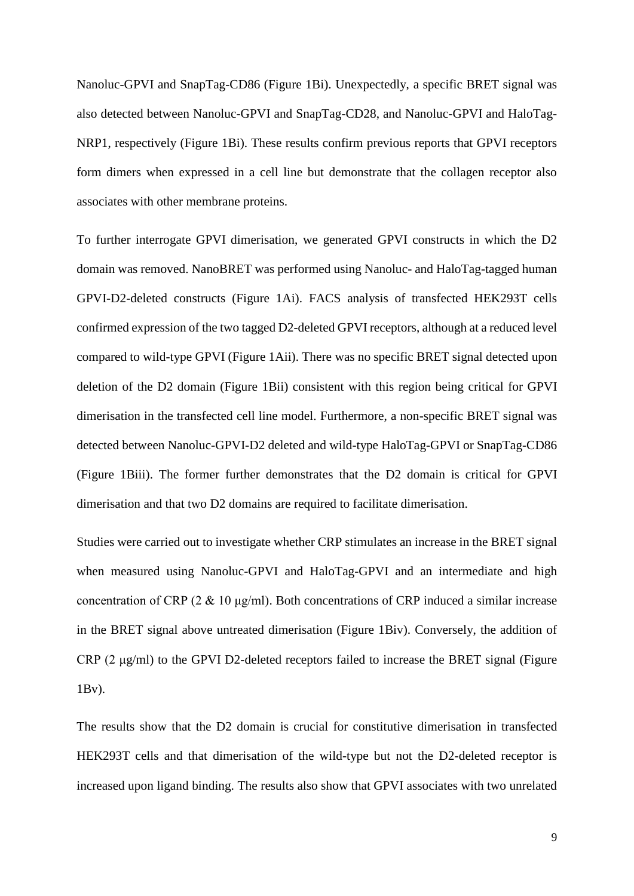Nanoluc-GPVI and SnapTag-CD86 (Figure 1Bi). Unexpectedly, a specific BRET signal was also detected between Nanoluc-GPVI and SnapTag-CD28, and Nanoluc-GPVI and HaloTag-NRP1, respectively (Figure 1Bi). These results confirm previous reports that GPVI receptors form dimers when expressed in a cell line but demonstrate that the collagen receptor also associates with other membrane proteins.

To further interrogate GPVI dimerisation, we generated GPVI constructs in which the D2 domain was removed. NanoBRET was performed using Nanoluc- and HaloTag-tagged human GPVI-D2-deleted constructs (Figure 1Ai). FACS analysis of transfected HEK293T cells confirmed expression of the two tagged D2-deleted GPVI receptors, although at a reduced level compared to wild-type GPVI (Figure 1Aii). There was no specific BRET signal detected upon deletion of the D2 domain (Figure 1Bii) consistent with this region being critical for GPVI dimerisation in the transfected cell line model. Furthermore, a non-specific BRET signal was detected between Nanoluc-GPVI-D2 deleted and wild-type HaloTag-GPVI or SnapTag-CD86 (Figure 1Biii). The former further demonstrates that the D2 domain is critical for GPVI dimerisation and that two D2 domains are required to facilitate dimerisation.

Studies were carried out to investigate whether CRP stimulates an increase in the BRET signal when measured using Nanoluc-GPVI and HaloTag-GPVI and an intermediate and high concentration of CRP (2  $\&$  10 μg/ml). Both concentrations of CRP induced a similar increase in the BRET signal above untreated dimerisation (Figure 1Biv). Conversely, the addition of CRP (2 μg/ml) to the GPVI D2-deleted receptors failed to increase the BRET signal (Figure 1Bv).

The results show that the D2 domain is crucial for constitutive dimerisation in transfected HEK293T cells and that dimerisation of the wild-type but not the D2-deleted receptor is increased upon ligand binding. The results also show that GPVI associates with two unrelated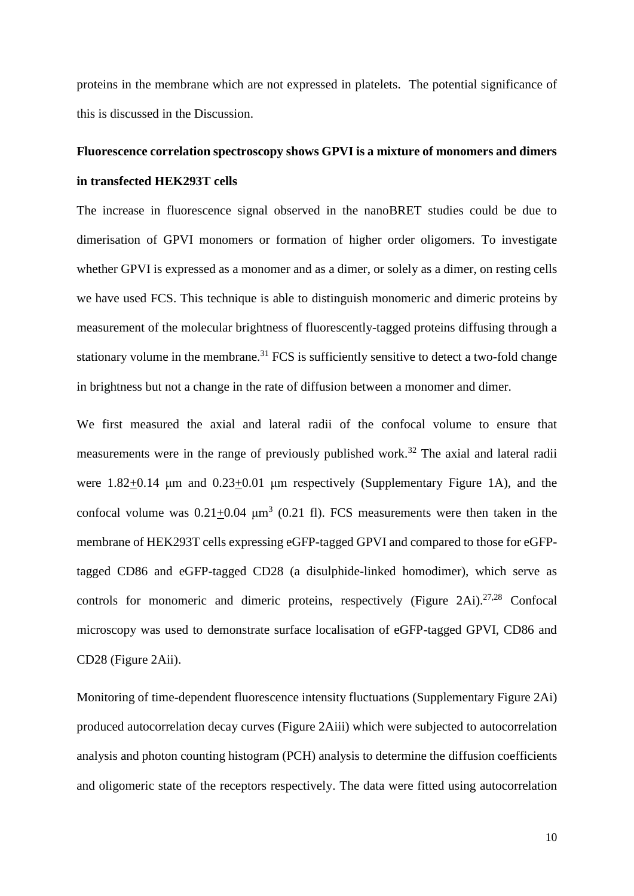proteins in the membrane which are not expressed in platelets. The potential significance of this is discussed in the Discussion.

## **Fluorescence correlation spectroscopy shows GPVI is a mixture of monomers and dimers in transfected HEK293T cells**

The increase in fluorescence signal observed in the nanoBRET studies could be due to dimerisation of GPVI monomers or formation of higher order oligomers. To investigate whether GPVI is expressed as a monomer and as a dimer, or solely as a dimer, on resting cells we have used FCS. This technique is able to distinguish monomeric and dimeric proteins by measurement of the molecular brightness of fluorescently-tagged proteins diffusing through a stationary volume in the membrane.<sup>31</sup> FCS is sufficiently sensitive to detect a two-fold change in brightness but not a change in the rate of diffusion between a monomer and dimer.

We first measured the axial and lateral radii of the confocal volume to ensure that measurements were in the range of previously published work.<sup>32</sup> The axial and lateral radii were 1.82+0.14 μm and 0.23+0.01 μm respectively (Supplementary Figure 1A), and the confocal volume was  $0.21 \pm 0.04$   $\mu$ m<sup>3</sup> (0.21 fl). FCS measurements were then taken in the membrane of HEK293T cells expressing eGFP-tagged GPVI and compared to those for eGFPtagged CD86 and eGFP-tagged CD28 (a disulphide-linked homodimer), which serve as controls for monomeric and dimeric proteins, respectively (Figure 2Ai).<sup>27,28</sup> Confocal microscopy was used to demonstrate surface localisation of eGFP-tagged GPVI, CD86 and CD28 (Figure 2Aii).

Monitoring of time-dependent fluorescence intensity fluctuations (Supplementary Figure 2Ai) produced autocorrelation decay curves (Figure 2Aiii) which were subjected to autocorrelation analysis and photon counting histogram (PCH) analysis to determine the diffusion coefficients and oligomeric state of the receptors respectively. The data were fitted using autocorrelation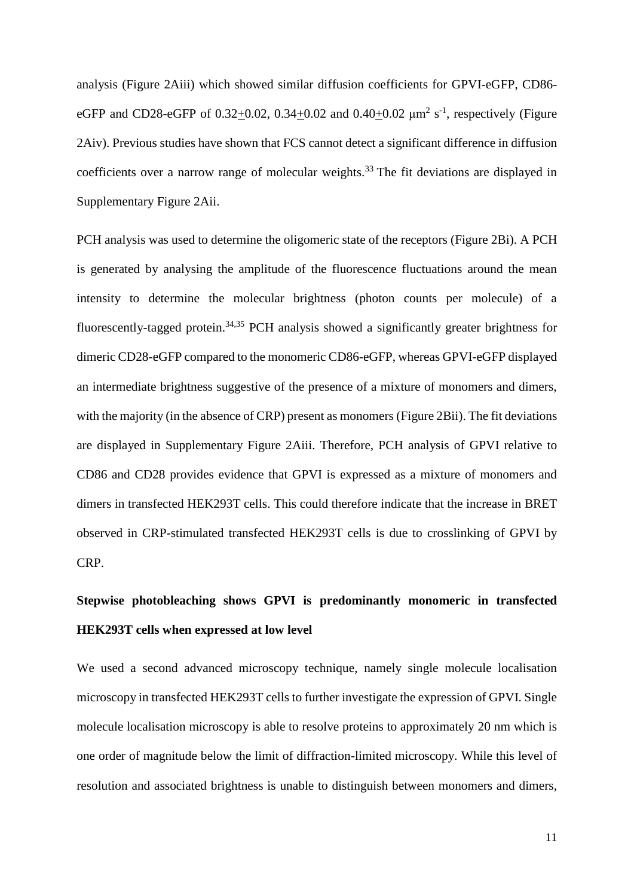analysis (Figure 2Aiii) which showed similar diffusion coefficients for GPVI-eGFP, CD86 eGFP and CD28-eGFP of 0.32 $\pm$ 0.02, 0.34 $\pm$ 0.02 and 0.40 $\pm$ 0.02  $\mu$ m<sup>2</sup> s<sup>-1</sup>, respectively (Figure 2Aiv). Previous studies have shown that FCS cannot detect a significant difference in diffusion coefficients over a narrow range of molecular weights.<sup>33</sup> The fit deviations are displayed in Supplementary Figure 2Aii.

PCH analysis was used to determine the oligomeric state of the receptors (Figure 2Bi). A PCH is generated by analysing the amplitude of the fluorescence fluctuations around the mean intensity to determine the molecular brightness (photon counts per molecule) of a fluorescently-tagged protein.<sup>34,35</sup> PCH analysis showed a significantly greater brightness for dimeric CD28-eGFP compared to the monomeric CD86-eGFP, whereas GPVI-eGFP displayed an intermediate brightness suggestive of the presence of a mixture of monomers and dimers, with the majority (in the absence of CRP) present as monomers (Figure 2Bii). The fit deviations are displayed in Supplementary Figure 2Aiii. Therefore, PCH analysis of GPVI relative to CD86 and CD28 provides evidence that GPVI is expressed as a mixture of monomers and dimers in transfected HEK293T cells. This could therefore indicate that the increase in BRET observed in CRP-stimulated transfected HEK293T cells is due to crosslinking of GPVI by CRP.

# **Stepwise photobleaching shows GPVI is predominantly monomeric in transfected HEK293T cells when expressed at low level**

We used a second advanced microscopy technique, namely single molecule localisation microscopy in transfected HEK293T cells to further investigate the expression of GPVI. Single molecule localisation microscopy is able to resolve proteins to approximately 20 nm which is one order of magnitude below the limit of diffraction-limited microscopy. While this level of resolution and associated brightness is unable to distinguish between monomers and dimers,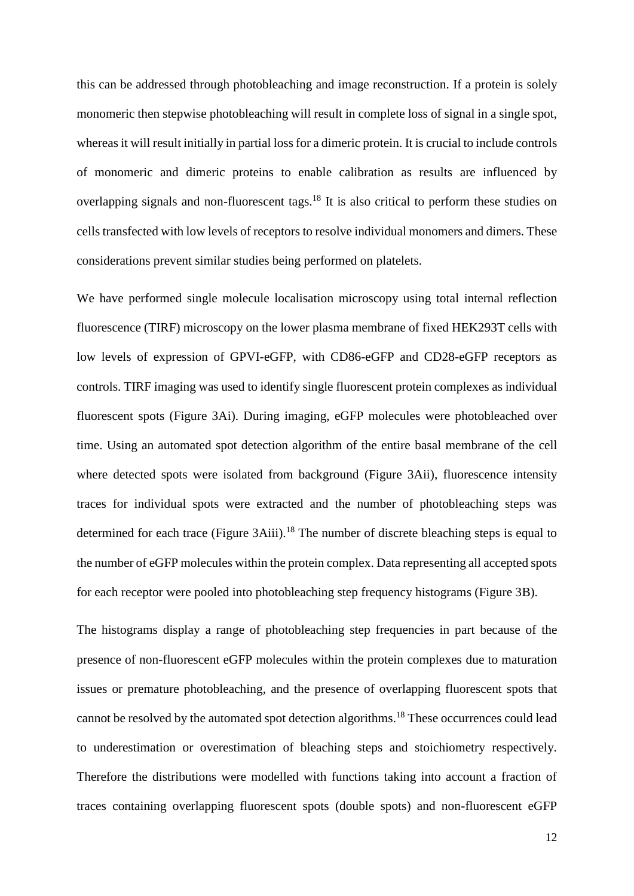this can be addressed through photobleaching and image reconstruction. If a protein is solely monomeric then stepwise photobleaching will result in complete loss of signal in a single spot, whereas it will result initially in partial loss for a dimeric protein. It is crucial to include controls of monomeric and dimeric proteins to enable calibration as results are influenced by overlapping signals and non-fluorescent tags.<sup>18</sup> It is also critical to perform these studies on cells transfected with low levels of receptors to resolve individual monomers and dimers. These considerations prevent similar studies being performed on platelets.

We have performed single molecule localisation microscopy using total internal reflection fluorescence (TIRF) microscopy on the lower plasma membrane of fixed HEK293T cells with low levels of expression of GPVI-eGFP, with CD86-eGFP and CD28-eGFP receptors as controls. TIRF imaging was used to identify single fluorescent protein complexes as individual fluorescent spots (Figure 3Ai). During imaging, eGFP molecules were photobleached over time. Using an automated spot detection algorithm of the entire basal membrane of the cell where detected spots were isolated from background (Figure 3Aii), fluorescence intensity traces for individual spots were extracted and the number of photobleaching steps was determined for each trace (Figure  $3Aiii$ ).<sup>18</sup> The number of discrete bleaching steps is equal to the number of eGFP molecules within the protein complex. Data representing all accepted spots for each receptor were pooled into photobleaching step frequency histograms (Figure 3B).

The histograms display a range of photobleaching step frequencies in part because of the presence of non-fluorescent eGFP molecules within the protein complexes due to maturation issues or premature photobleaching, and the presence of overlapping fluorescent spots that cannot be resolved by the automated spot detection algorithms.<sup>18</sup> These occurrences could lead to underestimation or overestimation of bleaching steps and stoichiometry respectively. Therefore the distributions were modelled with functions taking into account a fraction of traces containing overlapping fluorescent spots (double spots) and non-fluorescent eGFP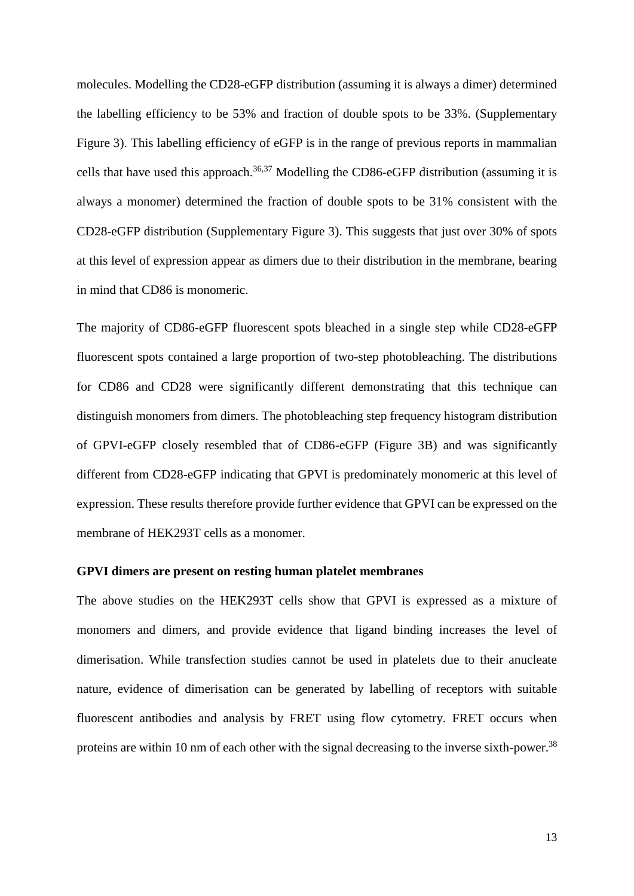molecules. Modelling the CD28-eGFP distribution (assuming it is always a dimer) determined the labelling efficiency to be 53% and fraction of double spots to be 33%. (Supplementary Figure 3). This labelling efficiency of eGFP is in the range of previous reports in mammalian cells that have used this approach.<sup>36,37</sup> Modelling the CD86-eGFP distribution (assuming it is always a monomer) determined the fraction of double spots to be 31% consistent with the CD28-eGFP distribution (Supplementary Figure 3). This suggests that just over 30% of spots at this level of expression appear as dimers due to their distribution in the membrane, bearing in mind that CD86 is monomeric.

The majority of CD86-eGFP fluorescent spots bleached in a single step while CD28-eGFP fluorescent spots contained a large proportion of two-step photobleaching. The distributions for CD86 and CD28 were significantly different demonstrating that this technique can distinguish monomers from dimers. The photobleaching step frequency histogram distribution of GPVI-eGFP closely resembled that of CD86-eGFP (Figure 3B) and was significantly different from CD28-eGFP indicating that GPVI is predominately monomeric at this level of expression. These results therefore provide further evidence that GPVI can be expressed on the membrane of HEK293T cells as a monomer.

#### **GPVI dimers are present on resting human platelet membranes**

The above studies on the HEK293T cells show that GPVI is expressed as a mixture of monomers and dimers, and provide evidence that ligand binding increases the level of dimerisation. While transfection studies cannot be used in platelets due to their anucleate nature, evidence of dimerisation can be generated by labelling of receptors with suitable fluorescent antibodies and analysis by FRET using flow cytometry. FRET occurs when proteins are within 10 nm of each other with the signal decreasing to the inverse sixth-power.<sup>38</sup>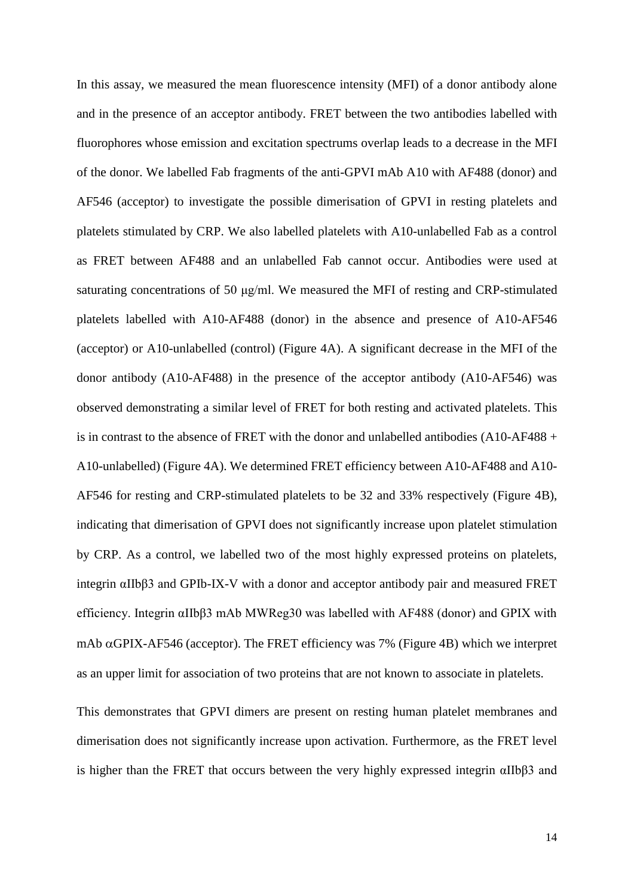In this assay, we measured the mean fluorescence intensity (MFI) of a donor antibody alone and in the presence of an acceptor antibody. FRET between the two antibodies labelled with fluorophores whose emission and excitation spectrums overlap leads to a decrease in the MFI of the donor. We labelled Fab fragments of the anti-GPVI mAb A10 with AF488 (donor) and AF546 (acceptor) to investigate the possible dimerisation of GPVI in resting platelets and platelets stimulated by CRP. We also labelled platelets with A10-unlabelled Fab as a control as FRET between AF488 and an unlabelled Fab cannot occur. Antibodies were used at saturating concentrations of 50  $\mu$ g/ml. We measured the MFI of resting and CRP-stimulated platelets labelled with A10-AF488 (donor) in the absence and presence of A10-AF546 (acceptor) or A10-unlabelled (control) (Figure 4A). A significant decrease in the MFI of the donor antibody (A10-AF488) in the presence of the acceptor antibody (A10-AF546) was observed demonstrating a similar level of FRET for both resting and activated platelets. This is in contrast to the absence of FRET with the donor and unlabelled antibodies  $(A10-AF488 +$ A10-unlabelled) (Figure 4A). We determined FRET efficiency between A10-AF488 and A10- AF546 for resting and CRP-stimulated platelets to be 32 and 33% respectively (Figure 4B), indicating that dimerisation of GPVI does not significantly increase upon platelet stimulation by CRP. As a control, we labelled two of the most highly expressed proteins on platelets, integrin αIIbβ3 and GPIb-IX-V with a donor and acceptor antibody pair and measured FRET efficiency. Integrin αIIbβ3 mAb MWReg30 was labelled with AF488 (donor) and GPIX with mAb  $\alpha$ GPIX-AF546 (acceptor). The FRET efficiency was 7% (Figure 4B) which we interpret as an upper limit for association of two proteins that are not known to associate in platelets.

This demonstrates that GPVI dimers are present on resting human platelet membranes and dimerisation does not significantly increase upon activation. Furthermore, as the FRET level is higher than the FRET that occurs between the very highly expressed integrin αIIbβ3 and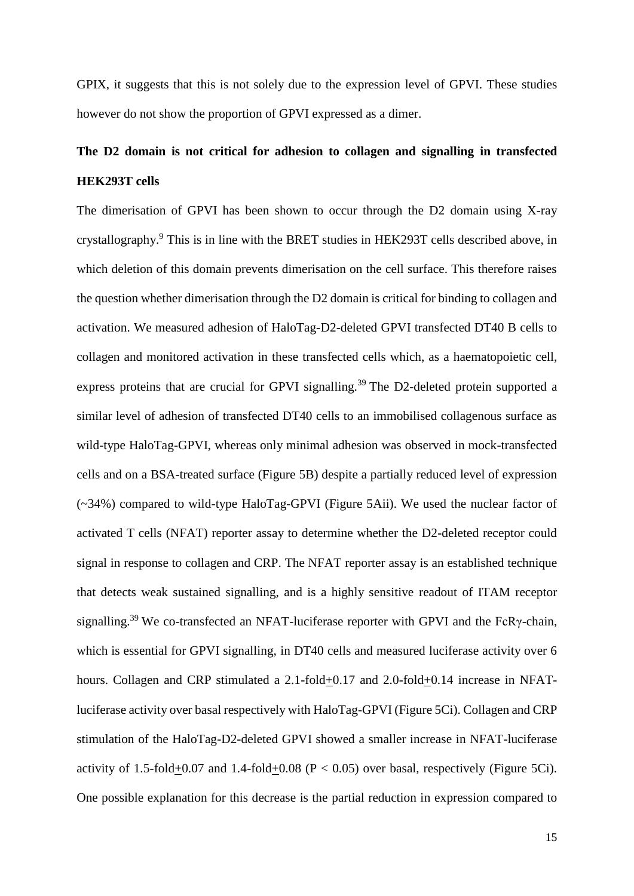GPIX, it suggests that this is not solely due to the expression level of GPVI. These studies however do not show the proportion of GPVI expressed as a dimer.

# **The D2 domain is not critical for adhesion to collagen and signalling in transfected HEK293T cells**

The dimerisation of GPVI has been shown to occur through the D2 domain using X-ray crystallography.<sup>9</sup> This is in line with the BRET studies in HEK293T cells described above, in which deletion of this domain prevents dimerisation on the cell surface. This therefore raises the question whether dimerisation through the D2 domain is critical for binding to collagen and activation. We measured adhesion of HaloTag-D2-deleted GPVI transfected DT40 B cells to collagen and monitored activation in these transfected cells which, as a haematopoietic cell, express proteins that are crucial for GPVI signalling.<sup>39</sup> The D2-deleted protein supported a similar level of adhesion of transfected DT40 cells to an immobilised collagenous surface as wild-type HaloTag-GPVI, whereas only minimal adhesion was observed in mock-transfected cells and on a BSA-treated surface (Figure 5B) despite a partially reduced level of expression (~34%) compared to wild-type HaloTag-GPVI (Figure 5Aii). We used the nuclear factor of activated T cells (NFAT) reporter assay to determine whether the D2-deleted receptor could signal in response to collagen and CRP. The NFAT reporter assay is an established technique that detects weak sustained signalling, and is a highly sensitive readout of ITAM receptor signalling.<sup>39</sup> We co-transfected an NFAT-luciferase reporter with GPVI and the FcRγ-chain, which is essential for GPVI signalling, in DT40 cells and measured luciferase activity over 6 hours. Collagen and CRP stimulated a 2.1-fold+0.17 and 2.0-fold+0.14 increase in NFATluciferase activity over basal respectively with HaloTag-GPVI (Figure 5Ci). Collagen and CRP stimulation of the HaloTag-D2-deleted GPVI showed a smaller increase in NFAT-luciferase activity of 1.5-fold+0.07 and 1.4-fold+0.08 ( $P < 0.05$ ) over basal, respectively (Figure 5Ci). One possible explanation for this decrease is the partial reduction in expression compared to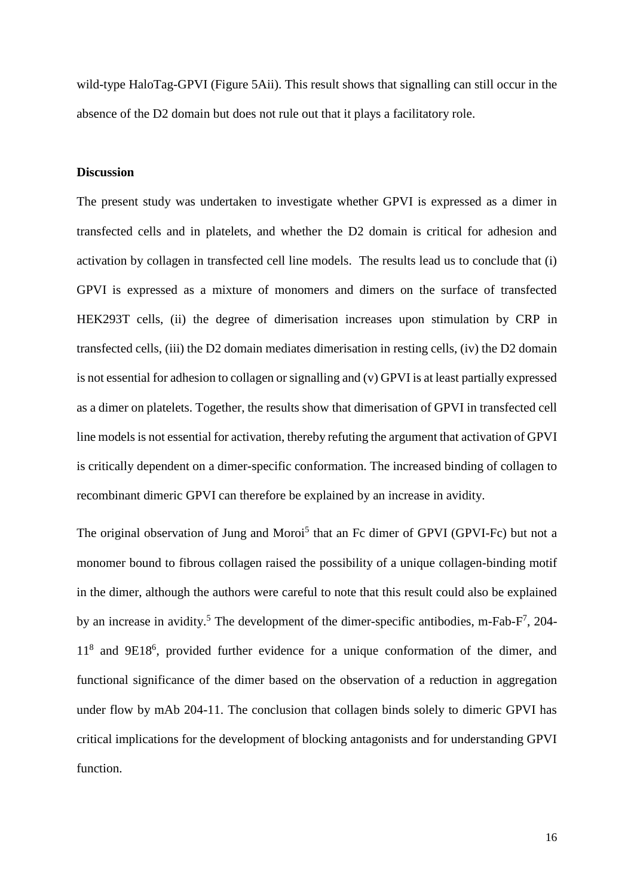wild-type HaloTag-GPVI (Figure 5Aii). This result shows that signalling can still occur in the absence of the D2 domain but does not rule out that it plays a facilitatory role.

#### **Discussion**

The present study was undertaken to investigate whether GPVI is expressed as a dimer in transfected cells and in platelets, and whether the D2 domain is critical for adhesion and activation by collagen in transfected cell line models. The results lead us to conclude that (i) GPVI is expressed as a mixture of monomers and dimers on the surface of transfected HEK293T cells, (ii) the degree of dimerisation increases upon stimulation by CRP in transfected cells, (iii) the D2 domain mediates dimerisation in resting cells, (iv) the D2 domain is not essential for adhesion to collagen or signalling and (v) GPVI is at least partially expressed as a dimer on platelets. Together, the results show that dimerisation of GPVI in transfected cell line models is not essential for activation, thereby refuting the argument that activation of GPVI is critically dependent on a dimer-specific conformation. The increased binding of collagen to recombinant dimeric GPVI can therefore be explained by an increase in avidity.

The original observation of Jung and Moroi<sup>5</sup> that an Fc dimer of GPVI (GPVI-Fc) but not a monomer bound to fibrous collagen raised the possibility of a unique collagen-binding motif in the dimer, although the authors were careful to note that this result could also be explained by an increase in avidity.<sup>5</sup> The development of the dimer-specific antibodies, m-Fab- $F^7$ , 204-11<sup>8</sup> and 9E18<sup>6</sup> , provided further evidence for a unique conformation of the dimer, and functional significance of the dimer based on the observation of a reduction in aggregation under flow by mAb 204-11. The conclusion that collagen binds solely to dimeric GPVI has critical implications for the development of blocking antagonists and for understanding GPVI function.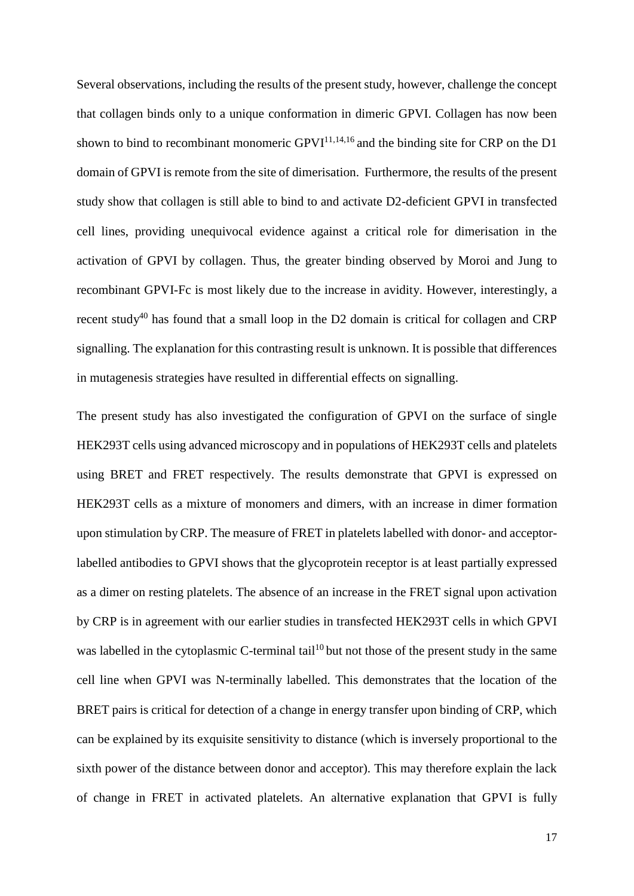Several observations, including the results of the present study, however, challenge the concept that collagen binds only to a unique conformation in dimeric GPVI. Collagen has now been shown to bind to recombinant monomeric  $GPVI^{11,14,16}$  and the binding site for CRP on the D1 domain of GPVI is remote from the site of dimerisation. Furthermore, the results of the present study show that collagen is still able to bind to and activate D2-deficient GPVI in transfected cell lines, providing unequivocal evidence against a critical role for dimerisation in the activation of GPVI by collagen. Thus, the greater binding observed by Moroi and Jung to recombinant GPVI-Fc is most likely due to the increase in avidity. However, interestingly, a recent study<sup>40</sup> has found that a small loop in the D2 domain is critical for collagen and CRP signalling. The explanation for this contrasting result is unknown. It is possible that differences in mutagenesis strategies have resulted in differential effects on signalling.

The present study has also investigated the configuration of GPVI on the surface of single HEK293T cells using advanced microscopy and in populations of HEK293T cells and platelets using BRET and FRET respectively. The results demonstrate that GPVI is expressed on HEK293T cells as a mixture of monomers and dimers, with an increase in dimer formation upon stimulation by CRP. The measure of FRET in platelets labelled with donor- and acceptorlabelled antibodies to GPVI shows that the glycoprotein receptor is at least partially expressed as a dimer on resting platelets. The absence of an increase in the FRET signal upon activation by CRP is in agreement with our earlier studies in transfected HEK293T cells in which GPVI was labelled in the cytoplasmic C-terminal tail<sup>10</sup> but not those of the present study in the same cell line when GPVI was N-terminally labelled. This demonstrates that the location of the BRET pairs is critical for detection of a change in energy transfer upon binding of CRP, which can be explained by its exquisite sensitivity to distance (which is inversely proportional to the sixth power of the distance between donor and acceptor). This may therefore explain the lack of change in FRET in activated platelets. An alternative explanation that GPVI is fully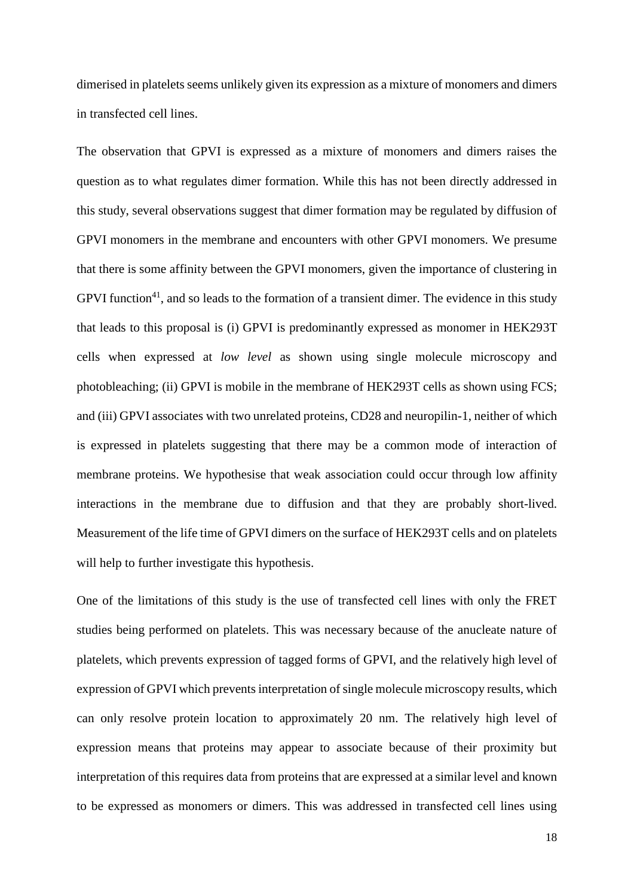dimerised in platelets seems unlikely given its expression as a mixture of monomers and dimers in transfected cell lines.

The observation that GPVI is expressed as a mixture of monomers and dimers raises the question as to what regulates dimer formation. While this has not been directly addressed in this study, several observations suggest that dimer formation may be regulated by diffusion of GPVI monomers in the membrane and encounters with other GPVI monomers. We presume that there is some affinity between the GPVI monomers, given the importance of clustering in GPVI function<sup>41</sup>, and so leads to the formation of a transient dimer. The evidence in this study that leads to this proposal is (i) GPVI is predominantly expressed as monomer in HEK293T cells when expressed at *low level* as shown using single molecule microscopy and photobleaching; (ii) GPVI is mobile in the membrane of HEK293T cells as shown using FCS; and (iii) GPVI associates with two unrelated proteins, CD28 and neuropilin-1, neither of which is expressed in platelets suggesting that there may be a common mode of interaction of membrane proteins. We hypothesise that weak association could occur through low affinity interactions in the membrane due to diffusion and that they are probably short-lived. Measurement of the life time of GPVI dimers on the surface of HEK293T cells and on platelets will help to further investigate this hypothesis.

One of the limitations of this study is the use of transfected cell lines with only the FRET studies being performed on platelets. This was necessary because of the anucleate nature of platelets, which prevents expression of tagged forms of GPVI, and the relatively high level of expression of GPVI which prevents interpretation of single molecule microscopy results, which can only resolve protein location to approximately 20 nm. The relatively high level of expression means that proteins may appear to associate because of their proximity but interpretation of this requires data from proteins that are expressed at a similar level and known to be expressed as monomers or dimers. This was addressed in transfected cell lines using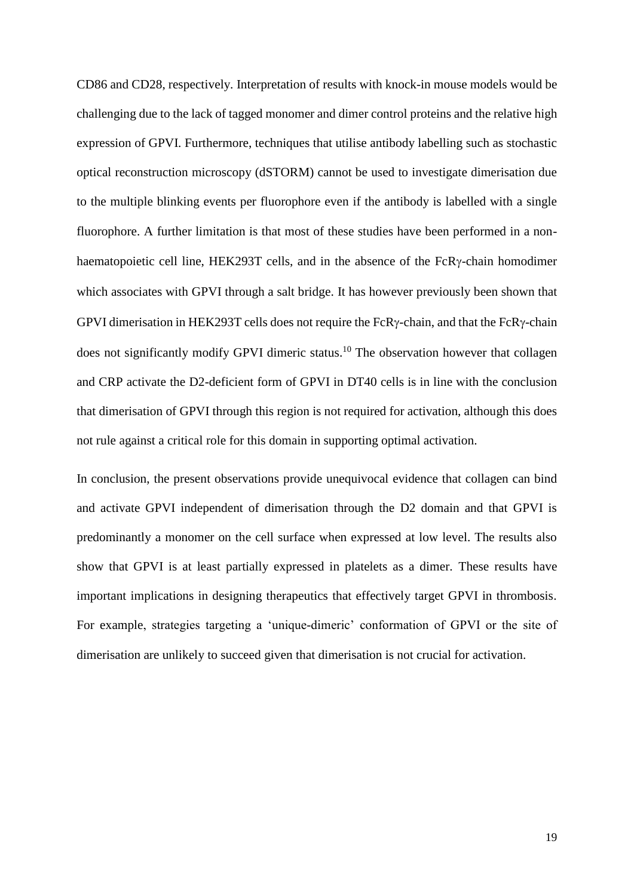CD86 and CD28, respectively. Interpretation of results with knock-in mouse models would be challenging due to the lack of tagged monomer and dimer control proteins and the relative high expression of GPVI. Furthermore, techniques that utilise antibody labelling such as stochastic optical reconstruction microscopy (dSTORM) cannot be used to investigate dimerisation due to the multiple blinking events per fluorophore even if the antibody is labelled with a single fluorophore. A further limitation is that most of these studies have been performed in a nonhaematopoietic cell line, HEK293T cells, and in the absence of the  $FcR\gamma$ -chain homodimer which associates with GPVI through a salt bridge. It has however previously been shown that GPVI dimerisation in HEK293T cells does not require the FcR $\gamma$ -chain, and that the FcR $\gamma$ -chain does not significantly modify GPVI dimeric status.<sup>10</sup> The observation however that collagen and CRP activate the D2-deficient form of GPVI in DT40 cells is in line with the conclusion that dimerisation of GPVI through this region is not required for activation, although this does not rule against a critical role for this domain in supporting optimal activation.

In conclusion, the present observations provide unequivocal evidence that collagen can bind and activate GPVI independent of dimerisation through the D2 domain and that GPVI is predominantly a monomer on the cell surface when expressed at low level. The results also show that GPVI is at least partially expressed in platelets as a dimer. These results have important implications in designing therapeutics that effectively target GPVI in thrombosis. For example, strategies targeting a 'unique-dimeric' conformation of GPVI or the site of dimerisation are unlikely to succeed given that dimerisation is not crucial for activation.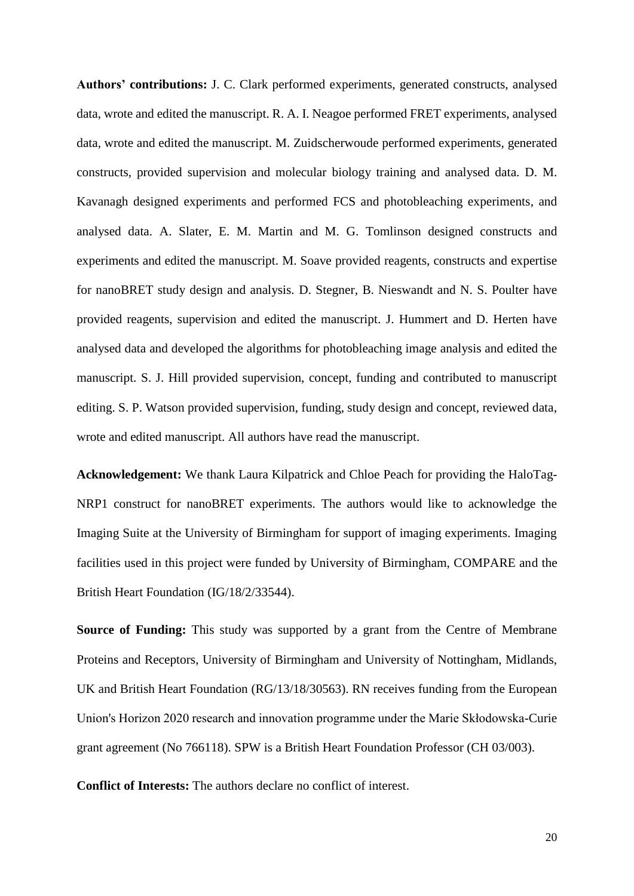**Authors' contributions:** J. C. Clark performed experiments, generated constructs, analysed data, wrote and edited the manuscript. R. A. I. Neagoe performed FRET experiments, analysed data, wrote and edited the manuscript. M. Zuidscherwoude performed experiments, generated constructs, provided supervision and molecular biology training and analysed data. D. M. Kavanagh designed experiments and performed FCS and photobleaching experiments, and analysed data. A. Slater, E. M. Martin and M. G. Tomlinson designed constructs and experiments and edited the manuscript. M. Soave provided reagents, constructs and expertise for nanoBRET study design and analysis. D. Stegner, B. Nieswandt and N. S. Poulter have provided reagents, supervision and edited the manuscript. J. Hummert and D. Herten have analysed data and developed the algorithms for photobleaching image analysis and edited the manuscript. S. J. Hill provided supervision, concept, funding and contributed to manuscript editing. S. P. Watson provided supervision, funding, study design and concept, reviewed data, wrote and edited manuscript. All authors have read the manuscript.

**Acknowledgement:** We thank Laura Kilpatrick and Chloe Peach for providing the HaloTag-NRP1 construct for nanoBRET experiments. The authors would like to acknowledge the Imaging Suite at the University of Birmingham for support of imaging experiments. Imaging facilities used in this project were funded by University of Birmingham, COMPARE and the British Heart Foundation (IG/18/2/33544).

**Source of Funding:** This study was supported by a grant from the Centre of Membrane Proteins and Receptors, University of Birmingham and University of Nottingham, Midlands, UK and British Heart Foundation (RG/13/18/30563). RN receives funding from the European Union's Horizon 2020 research and innovation programme under the Marie Skłodowska-Curie grant agreement (No 766118). SPW is a British Heart Foundation Professor (CH 03/003).

**Conflict of Interests:** The authors declare no conflict of interest.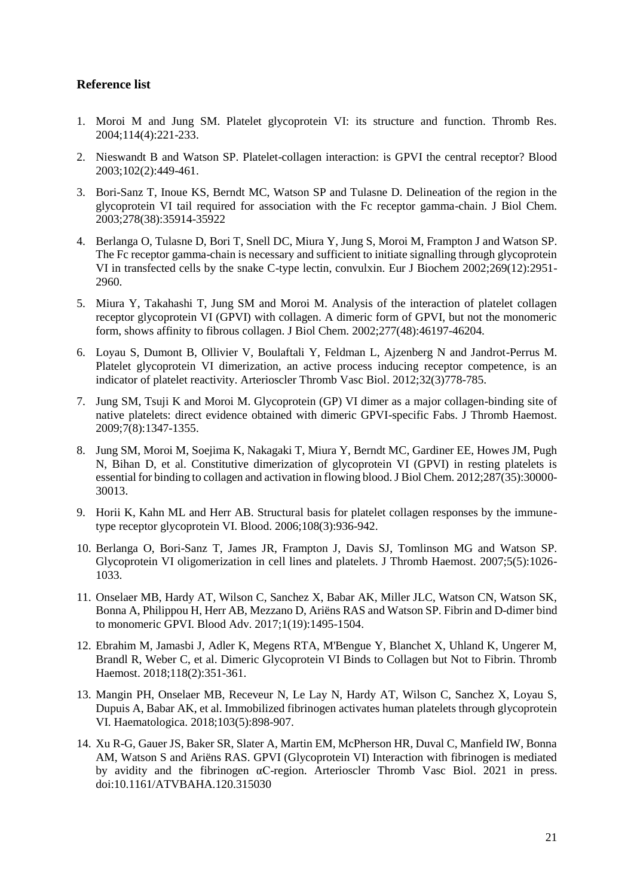#### **Reference list**

- 1. Moroi M and Jung SM. Platelet glycoprotein VI: its structure and function. Thromb Res. 2004;114(4):221-233.
- 2. Nieswandt B and Watson SP. Platelet-collagen interaction: is GPVI the central receptor? Blood 2003;102(2):449-461.
- 3. Bori-Sanz T, Inoue KS, Berndt MC, Watson SP and Tulasne D. Delineation of the region in the glycoprotein VI tail required for association with the Fc receptor gamma-chain. J Biol Chem. 2003;278(38):35914-35922
- 4. Berlanga O, Tulasne D, Bori T, Snell DC, Miura Y, Jung S, Moroi M, Frampton J and Watson SP. The Fc receptor gamma-chain is necessary and sufficient to initiate signalling through glycoprotein VI in transfected cells by the snake C-type lectin, convulxin. Eur J Biochem 2002;269(12):2951- 2960.
- 5. Miura Y, Takahashi T, Jung SM and Moroi M. Analysis of the interaction of platelet collagen receptor glycoprotein VI (GPVI) with collagen. A dimeric form of GPVI, but not the monomeric form, shows affinity to fibrous collagen. J Biol Chem. 2002;277(48):46197-46204.
- 6. Loyau S, Dumont B, Ollivier V, Boulaftali Y, Feldman L, Ajzenberg N and Jandrot-Perrus M. Platelet glycoprotein VI dimerization, an active process inducing receptor competence, is an indicator of platelet reactivity. Arterioscler Thromb Vasc Biol. 2012;32(3)778-785.
- 7. Jung SM, Tsuji K and Moroi M. Glycoprotein (GP) VI dimer as a major collagen-binding site of native platelets: direct evidence obtained with dimeric GPVI-specific Fabs. J Thromb Haemost. 2009;7(8):1347-1355.
- 8. Jung SM, Moroi M, Soejima K, Nakagaki T, Miura Y, Berndt MC, Gardiner EE, Howes JM, Pugh N, Bihan D, et al. Constitutive dimerization of glycoprotein VI (GPVI) in resting platelets is essential for binding to collagen and activation in flowing blood. J Biol Chem. 2012;287(35):30000- 30013.
- 9. Horii K, Kahn ML and Herr AB. Structural basis for platelet collagen responses by the immunetype receptor glycoprotein VI. Blood. 2006;108(3):936-942.
- 10. Berlanga O, Bori-Sanz T, James JR, Frampton J, Davis SJ, Tomlinson MG and Watson SP. Glycoprotein VI oligomerization in cell lines and platelets. J Thromb Haemost. 2007;5(5):1026- 1033.
- 11. Onselaer MB, Hardy AT, Wilson C, Sanchez X, Babar AK, Miller JLC, Watson CN, Watson SK, Bonna A, Philippou H, Herr AB, Mezzano D, Ariëns RAS and Watson SP. Fibrin and D-dimer bind to monomeric GPVI. Blood Adv. 2017;1(19):1495-1504.
- 12. Ebrahim M, Jamasbi J, Adler K, Megens RTA, M'Bengue Y, Blanchet X, Uhland K, Ungerer M, Brandl R, Weber C, et al. Dimeric Glycoprotein VI Binds to Collagen but Not to Fibrin. Thromb Haemost. 2018;118(2):351-361.
- 13. Mangin PH, Onselaer MB, Receveur N, Le Lay N, Hardy AT, Wilson C, Sanchez X, Loyau S, Dupuis A, Babar AK, et al. Immobilized fibrinogen activates human platelets through glycoprotein VI. Haematologica. 2018;103(5):898-907.
- 14. Xu R-G, Gauer JS, Baker SR, Slater A, Martin EM, McPherson HR, Duval C, Manfield IW, Bonna AM, Watson S and Ariëns RAS. GPVI (Glycoprotein VI) Interaction with fibrinogen is mediated by avidity and the fibrinogen αC-region. Arterioscler Thromb Vasc Biol. 2021 in press. doi:10.1161/ATVBAHA.120.315030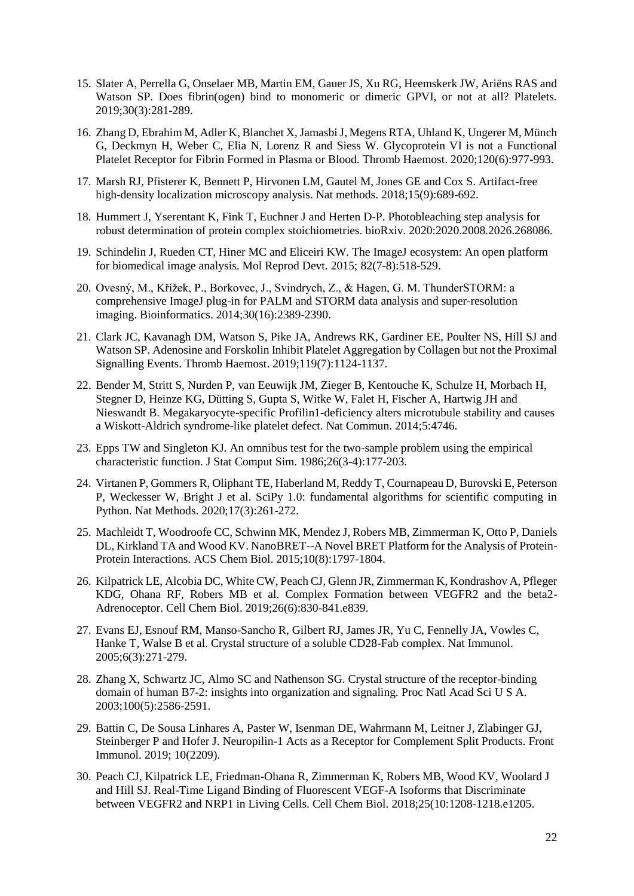- 15. Slater A, Perrella G, Onselaer MB, Martin EM, Gauer JS, Xu RG, Heemskerk JW, Ariëns RAS and Watson SP. Does fibrin(ogen) bind to monomeric or dimeric GPVI, or not at all? Platelets. 2019;30(3):281-289.
- 16. Zhang D, Ebrahim M, Adler K, Blanchet X, Jamasbi J, Megens RTA, Uhland K, Ungerer M, Münch G, Deckmyn H, Weber C, Elia N, Lorenz R and Siess W. Glycoprotein VI is not a Functional Platelet Receptor for Fibrin Formed in Plasma or Blood. Thromb Haemost. 2020;120(6):977-993.
- 17. Marsh RJ, Pfisterer K, Bennett P, Hirvonen LM, Gautel M, Jones GE and Cox S. Artifact-free high-density localization microscopy analysis. Nat methods. 2018;15(9):689-692.
- 18. Hummert J, Yserentant K, Fink T, Euchner J and Herten D-P. Photobleaching step analysis for robust determination of protein complex stoichiometries. bioRxiv. 2020:2020.2008.2026.268086.
- 19. Schindelin J, Rueden CT, Hiner MC and Eliceiri KW. The ImageJ ecosystem: An open platform for biomedical image analysis. Mol Reprod Devt. 2015; 82(7-8):518-529.
- 20. Ovesný, M., Křížek, P., Borkovec, J., Svindrych, Z., & Hagen, G. M. ThunderSTORM: a comprehensive ImageJ plug-in for PALM and STORM data analysis and super-resolution imaging. Bioinformatics. 2014;30(16):2389-2390.
- 21. Clark JC, Kavanagh DM, Watson S, Pike JA, Andrews RK, Gardiner EE, Poulter NS, Hill SJ and Watson SP. Adenosine and Forskolin Inhibit Platelet Aggregation by Collagen but not the Proximal Signalling Events. Thromb Haemost. 2019;119(7):1124-1137.
- 22. Bender M, Stritt S, Nurden P, van Eeuwijk JM, Zieger B, Kentouche K, Schulze H, Morbach H, Stegner D, Heinze KG, Dütting S, Gupta S, Witke W, Falet H, Fischer A, Hartwig JH and Nieswandt B. Megakaryocyte-specific Profilin1-deficiency alters microtubule stability and causes a Wiskott-Aldrich syndrome-like platelet defect. Nat Commun. 2014;5:4746.
- 23. Epps TW and Singleton KJ. An omnibus test for the two-sample problem using the empirical characteristic function. J Stat Comput Sim. 1986;26(3-4):177-203.
- 24. Virtanen P, Gommers R, Oliphant TE, Haberland M, Reddy T, Cournapeau D, Burovski E, Peterson P, Weckesser W, Bright J et al. SciPy 1.0: fundamental algorithms for scientific computing in Python. Nat Methods. 2020;17(3):261-272.
- 25. Machleidt T, Woodroofe CC, Schwinn MK, Mendez J, Robers MB, Zimmerman K, Otto P, Daniels DL, Kirkland TA and Wood KV. NanoBRET--A Novel BRET Platform for the Analysis of Protein-Protein Interactions. ACS Chem Biol. 2015;10(8):1797-1804.
- 26. Kilpatrick LE, Alcobia DC, White CW, Peach CJ, Glenn JR, Zimmerman K, Kondrashov A, Pfleger KDG, Ohana RF, Robers MB et al. Complex Formation between VEGFR2 and the beta2- Adrenoceptor. Cell Chem Biol. 2019;26(6):830-841.e839.
- 27. Evans EJ, Esnouf RM, Manso-Sancho R, Gilbert RJ, James JR, Yu C, Fennelly JA, Vowles C, Hanke T, Walse B et al. Crystal structure of a soluble CD28-Fab complex. Nat Immunol. 2005;6(3):271-279.
- 28. Zhang X, Schwartz JC, Almo SC and Nathenson SG. Crystal structure of the receptor-binding domain of human B7-2: insights into organization and signaling. Proc Natl Acad Sci U S A. 2003;100(5):2586-2591.
- 29. Battin C, De Sousa Linhares A, Paster W, Isenman DE, Wahrmann M, Leitner J, Zlabinger GJ, Steinberger P and Hofer J. Neuropilin-1 Acts as a Receptor for Complement Split Products. Front Immunol. 2019; 10(2209).
- 30. Peach CJ, Kilpatrick LE, Friedman-Ohana R, Zimmerman K, Robers MB, Wood KV, Woolard J and Hill SJ. Real-Time Ligand Binding of Fluorescent VEGF-A Isoforms that Discriminate between VEGFR2 and NRP1 in Living Cells. Cell Chem Biol. 2018;25(10:1208-1218.e1205.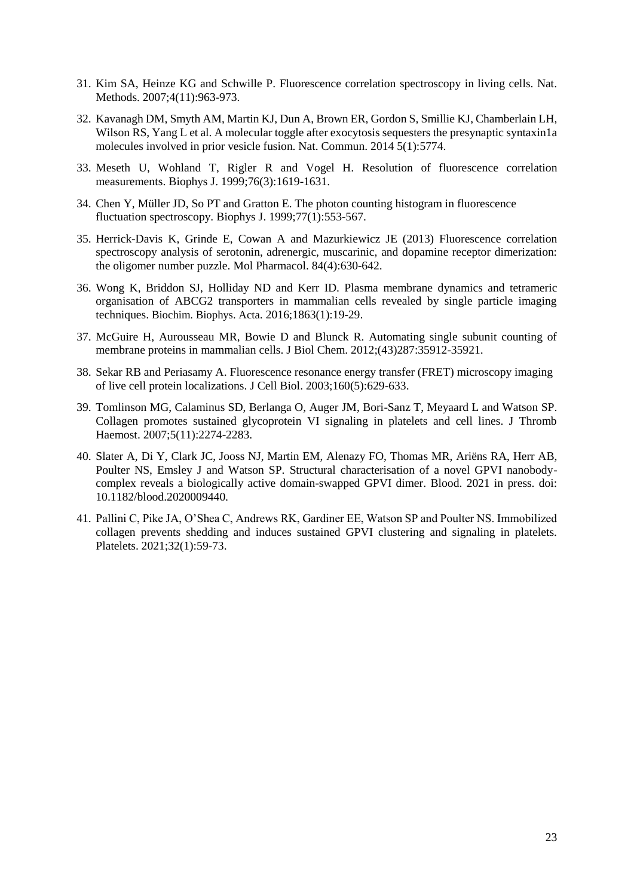- 31. Kim SA, Heinze KG and Schwille P. Fluorescence correlation spectroscopy in living cells. Nat. Methods. 2007;4(11):963-973.
- 32. Kavanagh DM, Smyth AM, Martin KJ, Dun A, Brown ER, Gordon S, Smillie KJ, Chamberlain LH, Wilson RS, Yang L et al. A molecular toggle after exocytosis sequesters the presynaptic syntaxin1a molecules involved in prior vesicle fusion. Nat. Commun. 2014 5(1):5774.
- 33. Meseth U, Wohland T, Rigler R and Vogel H. Resolution of fluorescence correlation measurements. Biophys J. 1999;76(3):1619-1631.
- 34. Chen Y, Müller JD, So PT and Gratton E. The photon counting histogram in fluorescence fluctuation spectroscopy. Biophys J.  $1999:77(1):553-567$ .
- 35. Herrick-Davis K, Grinde E, Cowan A and Mazurkiewicz JE (2013) Fluorescence correlation spectroscopy analysis of serotonin, adrenergic, muscarinic, and dopamine receptor dimerization: the oligomer number puzzle. Mol Pharmacol. 84(4):630-642.
- 36. Wong K, Briddon SJ, Holliday ND and Kerr ID. Plasma membrane dynamics and tetrameric organisation of ABCG2 transporters in mammalian cells revealed by single particle imaging techniques. Biochim. Biophys. Acta. 2016;1863(1):19-29.
- 37. McGuire H, Aurousseau MR, Bowie D and Blunck R. Automating single subunit counting of membrane proteins in mammalian cells. J Biol Chem. 2012;(43)287:35912-35921.
- 38. Sekar RB and Periasamy A. Fluorescence resonance energy transfer (FRET) microscopy imaging of live cell protein localizations. J Cell Biol. 2003;160(5):629-633.
- 39. Tomlinson MG, Calaminus SD, Berlanga O, Auger JM, Bori-Sanz T, Meyaard L and Watson SP. Collagen promotes sustained glycoprotein VI signaling in platelets and cell lines. J Thromb Haemost. 2007;5(11):2274-2283.
- 40. Slater A, Di Y, Clark JC, Jooss NJ, Martin EM, Alenazy FO, Thomas MR, Ariëns RA, Herr AB, Poulter NS, Emsley J and Watson SP. Structural characterisation of a novel GPVI nanobodycomplex reveals a biologically active domain-swapped GPVI dimer. Blood. 2021 in press. doi: 10.1182/blood.2020009440.
- 41. Pallini C, Pike JA, O'Shea C, Andrews RK, Gardiner EE, Watson SP and Poulter NS. Immobilized collagen prevents shedding and induces sustained GPVI clustering and signaling in platelets. Platelets. 2021;32(1):59-73.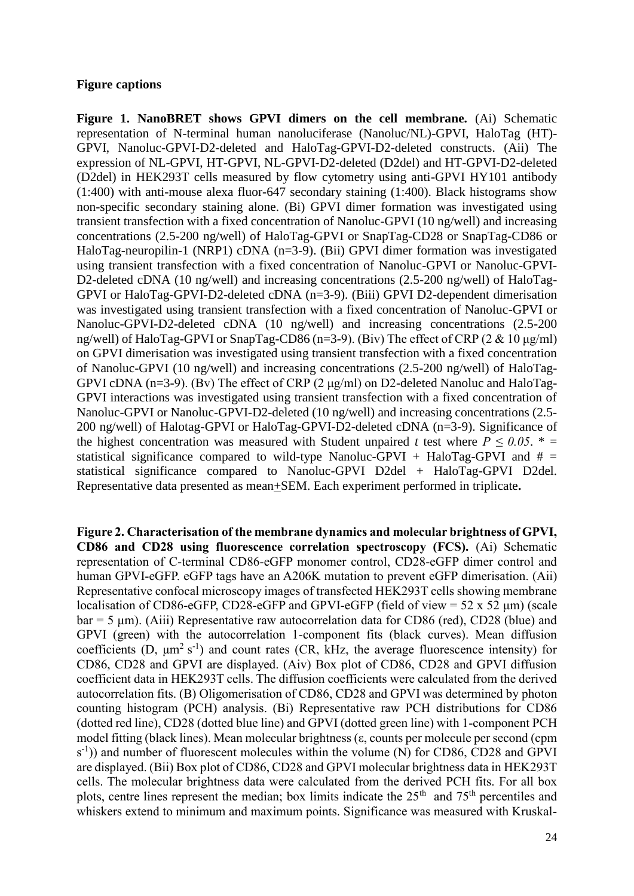#### **Figure captions**

**Figure 1. NanoBRET shows GPVI dimers on the cell membrane.** (Ai) Schematic representation of N-terminal human nanoluciferase (Nanoluc/NL)-GPVI, HaloTag (HT)- GPVI, Nanoluc-GPVI-D2-deleted and HaloTag-GPVI-D2-deleted constructs. (Aii) The expression of NL-GPVI, HT-GPVI, NL-GPVI-D2-deleted (D2del) and HT-GPVI-D2-deleted (D2del) in HEK293T cells measured by flow cytometry using anti-GPVI HY101 antibody (1:400) with anti-mouse alexa fluor-647 secondary staining (1:400). Black histograms show non-specific secondary staining alone. (Bi) GPVI dimer formation was investigated using transient transfection with a fixed concentration of Nanoluc-GPVI (10 ng/well) and increasing concentrations (2.5-200 ng/well) of HaloTag-GPVI or SnapTag-CD28 or SnapTag-CD86 or HaloTag-neuropilin-1 (NRP1) cDNA (n=3-9). (Bii) GPVI dimer formation was investigated using transient transfection with a fixed concentration of Nanoluc-GPVI or Nanoluc-GPVI-D2-deleted cDNA (10 ng/well) and increasing concentrations (2.5-200 ng/well) of HaloTag-GPVI or HaloTag-GPVI-D2-deleted cDNA (n=3-9). (Biii) GPVI D2-dependent dimerisation was investigated using transient transfection with a fixed concentration of Nanoluc-GPVI or Nanoluc-GPVI-D2-deleted cDNA (10 ng/well) and increasing concentrations (2.5-200 ng/well) of HaloTag-GPVI or SnapTag-CD86 (n=3-9). (Biv) The effect of CRP (2 & 10 μg/ml) on GPVI dimerisation was investigated using transient transfection with a fixed concentration of Nanoluc-GPVI (10 ng/well) and increasing concentrations (2.5-200 ng/well) of HaloTag-GPVI cDNA (n=3-9). (Bv) The effect of CRP (2 μg/ml) on D2-deleted Nanoluc and HaloTag-GPVI interactions was investigated using transient transfection with a fixed concentration of Nanoluc-GPVI or Nanoluc-GPVI-D2-deleted (10 ng/well) and increasing concentrations (2.5- 200 ng/well) of Halotag-GPVI or HaloTag-GPVI-D2-deleted cDNA (n=3-9). Significance of the highest concentration was measured with Student unpaired *t* test where  $P \le 0.05$ .  $* =$ statistical significance compared to wild-type Nanoluc-GPVI + HaloTag-GPVI and  $\#$  = statistical significance compared to Nanoluc-GPVI D2del + HaloTag-GPVI D2del. Representative data presented as mean+SEM. Each experiment performed in triplicate**.** 

**Figure 2. Characterisation of the membrane dynamics and molecular brightness of GPVI, CD86 and CD28 using fluorescence correlation spectroscopy (FCS).** (Ai) Schematic representation of C-terminal CD86-eGFP monomer control, CD28-eGFP dimer control and human GPVI-eGFP. eGFP tags have an A206K mutation to prevent eGFP dimerisation. (Aii) Representative confocal microscopy images of transfected HEK293T cells showing membrane localisation of CD86-eGFP, CD28-eGFP and GPVI-eGFP (field of view = 52 x 52 μm) (scale  $bar = 5 \mu m$ ). (Aiii) Representative raw autocorrelation data for CD86 (red), CD28 (blue) and GPVI (green) with the autocorrelation 1-component fits (black curves). Mean diffusion coefficients (D,  $\mu$ m<sup>2</sup> s<sup>-1</sup>) and count rates (CR, kHz, the average fluorescence intensity) for CD86, CD28 and GPVI are displayed. (Aiv) Box plot of CD86, CD28 and GPVI diffusion coefficient data in HEK293T cells. The diffusion coefficients were calculated from the derived autocorrelation fits. (B) Oligomerisation of CD86, CD28 and GPVI was determined by photon counting histogram (PCH) analysis. (Bi) Representative raw PCH distributions for CD86 (dotted red line), CD28 (dotted blue line) and GPVI (dotted green line) with 1-component PCH model fitting (black lines). Mean molecular brightness (ε, counts per molecule per second (cpm  $(s<sup>-1</sup>)$ ) and number of fluorescent molecules within the volume (N) for CD86, CD28 and GPVI are displayed. (Bii) Box plot of CD86, CD28 and GPVI molecular brightness data in HEK293T cells. The molecular brightness data were calculated from the derived PCH fits. For all box plots, centre lines represent the median; box limits indicate the  $25<sup>th</sup>$  and  $75<sup>th</sup>$  percentiles and whiskers extend to minimum and maximum points. Significance was measured with Kruskal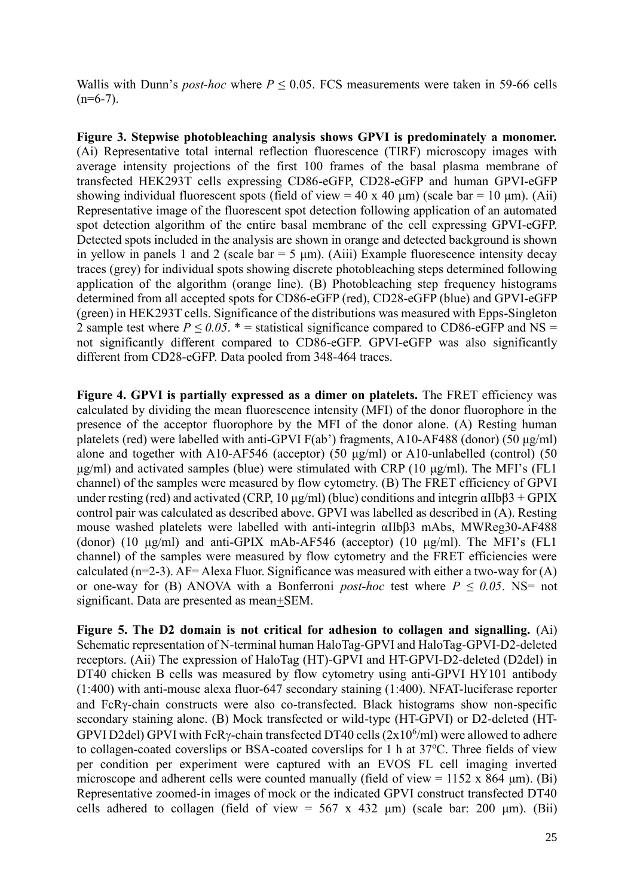Wallis with Dunn's *post-hoc* where  $P \le 0.05$ . FCS measurements were taken in 59-66 cells  $(n=6-7)$ .

**Figure 3. Stepwise photobleaching analysis shows GPVI is predominately a monomer.**  (Ai) Representative total internal reflection fluorescence (TIRF) microscopy images with average intensity projections of the first 100 frames of the basal plasma membrane of transfected HEK293T cells expressing CD86-eGFP, CD28-eGFP and human GPVI-eGFP showing individual fluorescent spots (field of view = 40 x 40  $\mu$ m) (scale bar = 10  $\mu$ m). (Aii) Representative image of the fluorescent spot detection following application of an automated spot detection algorithm of the entire basal membrane of the cell expressing GPVI-eGFP. Detected spots included in the analysis are shown in orange and detected background is shown in yellow in panels 1 and 2 (scale bar = 5  $\mu$ m). (Aiii) Example fluorescence intensity decay traces (grey) for individual spots showing discrete photobleaching steps determined following application of the algorithm (orange line). (B) Photobleaching step frequency histograms determined from all accepted spots for CD86-eGFP (red), CD28-eGFP (blue) and GPVI-eGFP (green) in HEK293T cells. Significance of the distributions was measured with Epps-Singleton 2 sample test where  $P \le 0.05$ . \* = statistical significance compared to CD86-eGFP and NS = not significantly different compared to CD86-eGFP. GPVI-eGFP was also significantly different from CD28-eGFP. Data pooled from 348-464 traces.

**Figure 4. GPVI is partially expressed as a dimer on platelets.** The FRET efficiency was calculated by dividing the mean fluorescence intensity (MFI) of the donor fluorophore in the presence of the acceptor fluorophore by the MFI of the donor alone. (A) Resting human platelets (red) were labelled with anti-GPVI  $F(ab')$  fragments, A10-AF488 (donor) (50  $\mu$ g/ml) alone and together with A10-AF546 (acceptor) (50 μg/ml) or A10-unlabelled (control) (50 μg/ml) and activated samples (blue) were stimulated with CRP (10 μg/ml). The MFI's (FL1 channel) of the samples were measured by flow cytometry. (B) The FRET efficiency of GPVI under resting (red) and activated (CRP, 10 μg/ml) (blue) conditions and integrin αIIbβ3 + GPIX control pair was calculated as described above. GPVI was labelled as described in (A). Resting mouse washed platelets were labelled with anti-integrin αIIbβ3 mAbs, MWReg30-AF488 (donor) (10  $\mu$ g/ml) and anti-GPIX mAb-AF546 (acceptor) (10  $\mu$ g/ml). The MFI's (FL1 channel) of the samples were measured by flow cytometry and the FRET efficiencies were calculated ( $n=2-3$ ). AF= Alexa Fluor. Significance was measured with either a two-way for (A) or one-way for (B) ANOVA with a Bonferroni *post-hoc* test where  $P \le 0.05$ . NS= not significant. Data are presented as mean+SEM.

**Figure 5. The D2 domain is not critical for adhesion to collagen and signalling.** (Ai) Schematic representation of N-terminal human HaloTag-GPVI and HaloTag-GPVI-D2-deleted receptors. (Aii) The expression of HaloTag (HT)-GPVI and HT-GPVI-D2-deleted (D2del) in DT40 chicken B cells was measured by flow cytometry using anti-GPVI HY101 antibody (1:400) with anti-mouse alexa fluor-647 secondary staining (1:400). NFAT-luciferase reporter and FcRy-chain constructs were also co-transfected. Black histograms show non-specific secondary staining alone. (B) Mock transfected or wild-type (HT-GPVI) or D2-deleted (HT-GPVI D2del) GPVI with FcRy-chain transfected DT40 cells  $(2x10^6\text{/ml})$  were allowed to adhere to collagen-coated coverslips or BSA-coated coverslips for 1 h at  $37^{\circ}$ C. Three fields of view per condition per experiment were captured with an EVOS FL cell imaging inverted microscope and adherent cells were counted manually (field of view =  $1152 \times 864 \text{ µm}$ ). (Bi) Representative zoomed-in images of mock or the indicated GPVI construct transfected DT40 cells adhered to collagen (field of view =  $567 \times 432 \text{ µm}$ ) (scale bar: 200  $\mu$ m). (Bii)